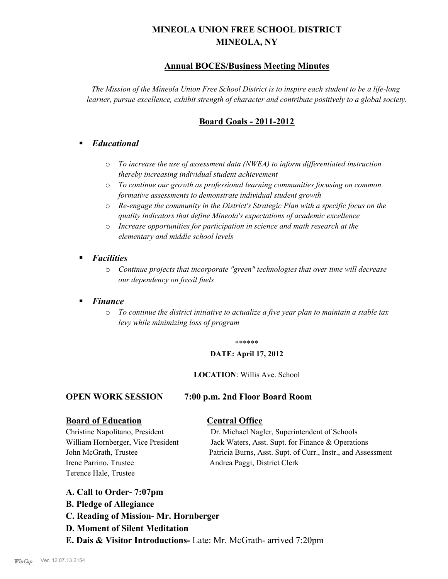# **MINEOLA UNION FREE SCHOOL DISTRICT MINEOLA, NY**

# **Annual BOCES/Business Meeting Minutes**

*The Mission of the Mineola Union Free School District is to inspire each student to be a life-long learner, pursue excellence, exhibit strength of character and contribute positively to a global society.*

# **Board Goals - 2011-2012**

# § *Educational*

- o *To increase the use of assessment data (NWEA) to inform differentiated instruction thereby increasing individual student achievement*
- o *To continue our growth as professional learning communities focusing on common formative assessments to demonstrate individual student growth*
- o *Re-engage the community in the District's Strategic Plan with a specific focus on the quality indicators that define Mineola's expectations of academic excellence*
- o *Increase opportunities for participation in science and math research at the elementary and middle school levels*
- *Facilities* 
	- o *Continue projects that incorporate "green" technologies that over time will decrease our dependency on fossil fuels*

# § *Finance*

o *To continue the district initiative to actualize a five year plan to maintain a stable tax levy while minimizing loss of program*

#### \*\*\*\*\*\*

#### **DATE: April 17, 2012**

#### **LOCATION**: Willis Ave. School

## **OPEN WORK SESSION 7:00 p.m. 2nd Floor Board Room**

# **Board of Education Central Office**

Irene Parrino, Trustee Andrea Paggi, District Clerk Terence Hale, Trustee

Christine Napolitano, President Dr. Michael Nagler, Superintendent of Schools William Hornberger, Vice President Jack Waters, Asst. Supt. for Finance & Operations John McGrath, Trustee Patricia Burns, Asst. Supt. of Curr., Instr., and Assessment

# **A. Call to Order- 7:07pm**

- **B. Pledge of Allegiance**
- **C. Reading of Mission- Mr. Hornberger**
- **D. Moment of Silent Meditation**
- **E. Dais & Visitor Introductions-** Late: Mr. McGrath- arrived 7:20pm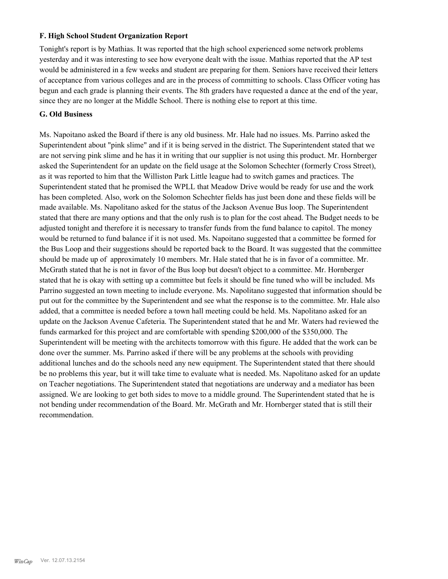## **F. High School Student Organization Report**

Tonight's report is by Mathias. It was reported that the high school experienced some network problems yesterday and it was interesting to see how everyone dealt with the issue. Mathias reported that the AP test would be administered in a few weeks and student are preparing for them. Seniors have received their letters of acceptance from various colleges and are in the process of committing to schools. Class Officer voting has begun and each grade is planning their events. The 8th graders have requested a dance at the end of the year, since they are no longer at the Middle School. There is nothing else to report at this time.

#### **G. Old Business**

Ms. Napoitano asked the Board if there is any old business. Mr. Hale had no issues. Ms. Parrino asked the Superintendent about "pink slime" and if it is being served in the district. The Superintendent stated that we are not serving pink slime and he has it in writing that our supplier is not using this product. Mr. Hornberger asked the Superintendent for an update on the field usage at the Solomon Schechter (formerly Cross Street), as it was reported to him that the Williston Park Little league had to switch games and practices. The Superintendent stated that he promised the WPLL that Meadow Drive would be ready for use and the work has been completed. Also, work on the Solomon Schechter fields has just been done and these fields will be made available. Ms. Napolitano asked for the status of the Jackson Avenue Bus loop. The Superintendent stated that there are many options and that the only rush is to plan for the cost ahead. The Budget needs to be adjusted tonight and therefore it is necessary to transfer funds from the fund balance to capitol. The money would be returned to fund balance if it is not used. Ms. Napoitano suggested that a committee be formed for the Bus Loop and their suggestions should be reported back to the Board. It was suggested that the committee should be made up of approximately 10 members. Mr. Hale stated that he is in favor of a committee. Mr. McGrath stated that he is not in favor of the Bus loop but doesn't object to a committee. Mr. Hornberger stated that he is okay with setting up a committee but feels it should be fine tuned who will be included. Ms Parrino suggested an town meeting to include everyone. Ms. Napolitano suggested that information should be put out for the committee by the Superintendent and see what the response is to the committee. Mr. Hale also added, that a committee is needed before a town hall meeting could be held. Ms. Napolitano asked for an update on the Jackson Avenue Cafeteria. The Superintendent stated that he and Mr. Waters had reviewed the funds earmarked for this project and are comfortable with spending \$200,000 of the \$350,000. The Superintendent will be meeting with the architects tomorrow with this figure. He added that the work can be done over the summer. Ms. Parrino asked if there will be any problems at the schools with providing additional lunches and do the schools need any new equipment. The Superintendent stated that there should be no problems this year, but it will take time to evaluate what is needed. Ms. Napolitano asked for an update on Teacher negotiations. The Superintendent stated that negotiations are underway and a mediator has been assigned. We are looking to get both sides to move to a middle ground. The Superintendent stated that he is not bending under recommendation of the Board. Mr. McGrath and Mr. Hornberger stated that is still their recommendation.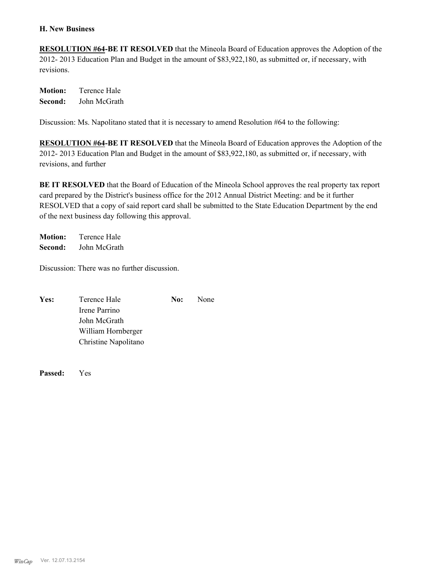#### **H. New Business**

**RESOLUTION #64-BE IT RESOLVED** that the Mineola Board of Education approves the Adoption of the 2012- 2013 Education Plan and Budget in the amount of \$83,922,180, as submitted or, if necessary, with revisions.

**Motion:** Terence Hale **Second:** John McGrath

Discussion: Ms. Napolitano stated that it is necessary to amend Resolution #64 to the following:

**RESOLUTION #64-BE IT RESOLVED** that the Mineola Board of Education approves the Adoption of the 2012- 2013 Education Plan and Budget in the amount of \$83,922,180, as submitted or, if necessary, with revisions, and further

**BE IT RESOLVED** that the Board of Education of the Mineola School approves the real property tax report card prepared by the District's business office for the 2012 Annual District Meeting: and be it further RESOLVED that a copy of said report card shall be submitted to the State Education Department by the end of the next business day following this approval.

**Motion:** Terence Hale **Second:** John McGrath

Discussion: There was no further discussion.

| Yes: | Terence Hale         | No: | None |
|------|----------------------|-----|------|
|      | Irene Parrino        |     |      |
|      | John McGrath         |     |      |
|      | William Hornberger   |     |      |
|      | Christine Napolitano |     |      |

**Passed:** Yes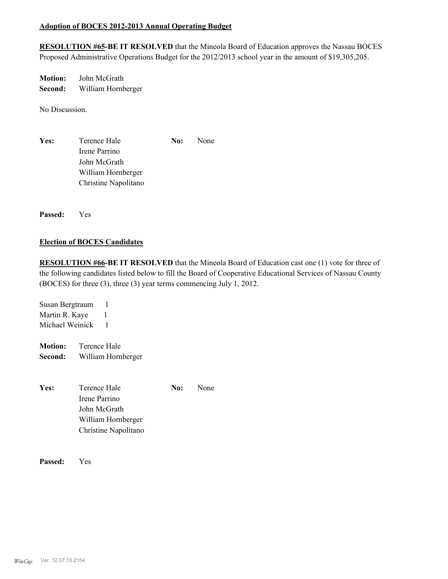## **Adoption of BOCES 2012-2013 Annual Operating Budget**

**RESOLUTION #65-BE IT RESOLVED** that the Mineola Board of Education approves the Nassau BOCES Proposed Administrative Operations Budget for the 2012/2013 school year in the amount of \$19,305,205.

**Motion:** John McGrath **Second:** William Hornberger

No Discussion.

Yes: Terence Hale **No:** None Irene Parrino John McGrath William Hornberger Christine Napolitano

**Passed:** Yes

## **Election of BOCES Candidates**

**RESOLUTION #66-BE IT RESOLVED** that the Mineola Board of Education cast one (1) vote for three of the following candidates listed below to fill the Board of Cooperative Educational Services of Nassau County (BOCES) for three (3), three (3) year terms commencing July 1, 2012.

Susan Bergtraum 1 Martin R. Kaye 1 Michael Weinick 1

**Motion:** Terence Hale **Second:** William Hornberger

**Yes:** Terence Hale **No:** None Irene Parrino John McGrath William Hornberger Christine Napolitano

**Passed:** Yes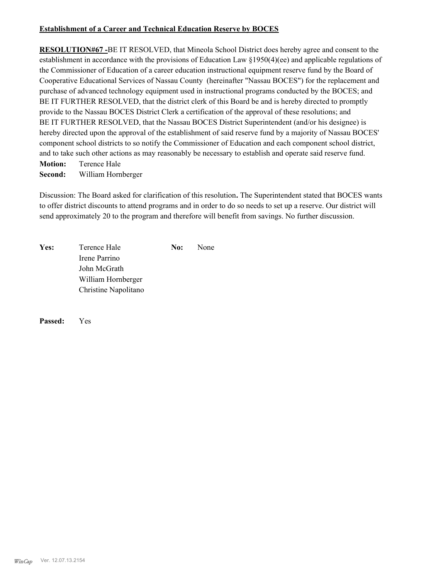## **Establishment of a Career and Technical Education Reserve by BOCES**

**RESOLUTION#67 -**BE IT RESOLVED, that Mineola School District does hereby agree and consent to the establishment in accordance with the provisions of Education Law §1950(4)(ee) and applicable regulations of the Commissioner of Education of a career education instructional equipment reserve fund by the Board of Cooperative Educational Services of Nassau County (hereinafter "Nassau BOCES") for the replacement and purchase of advanced technology equipment used in instructional programs conducted by the BOCES; and BE IT FURTHER RESOLVED, that the district clerk of this Board be and is hereby directed to promptly provide to the Nassau BOCES District Clerk a certification of the approval of these resolutions; and BE IT FURTHER RESOLVED, that the Nassau BOCES District Superintendent (and/or his designee) is hereby directed upon the approval of the establishment of said reserve fund by a majority of Nassau BOCES' component school districts to so notify the Commissioner of Education and each component school district, and to take such other actions as may reasonably be necessary to establish and operate said reserve fund.

**Motion:** Terence Hale **Second:** William Hornberger

Discussion: The Board asked for clarification of this resolution**.** The Superintendent stated that BOCES wants to offer district discounts to attend programs and in order to do so needs to set up a reserve. Our district will send approximately 20 to the program and therefore will benefit from savings. No further discussion.

| Yes: | Terence Hale         | No: | None |
|------|----------------------|-----|------|
|      | Irene Parrino        |     |      |
|      | John McGrath         |     |      |
|      | William Hornberger   |     |      |
|      | Christine Napolitano |     |      |

**Passed:** Yes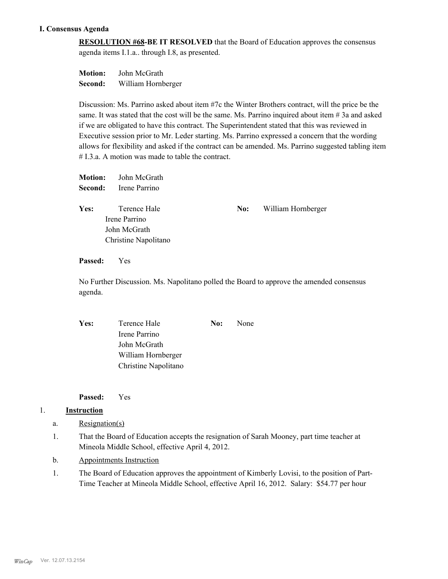# **I. Consensus Agenda**

**RESOLUTION #68-BE IT RESOLVED** that the Board of Education approves the consensus agenda items I.1.a.. through I.8, as presented.

**Motion:** John McGrath **Second:** William Hornberger

Discussion: Ms. Parrino asked about item #7c the Winter Brothers contract, will the price be the same. It was stated that the cost will be the same. Ms. Parrino inquired about item  $\#$  3a and asked if we are obligated to have this contract. The Superintendent stated that this was reviewed in Executive session prior to Mr. Leder starting. Ms. Parrino expressed a concern that the wording allows for flexibility and asked if the contract can be amended. Ms. Parrino suggested tabling item # I.3.a. A motion was made to table the contract.

| <b>Motion:</b><br>Second: | John McGrath<br>Irene Parrino                                         |     |                    |
|---------------------------|-----------------------------------------------------------------------|-----|--------------------|
| Yes:                      | Terence Hale<br>Irene Parrino<br>John McGrath<br>Christine Napolitano | No: | William Hornberger |

**Passed:** Yes

No Further Discussion. Ms. Napolitano polled the Board to approve the amended consensus agenda.

| Yes: | Terence Hale         | No: | None |
|------|----------------------|-----|------|
|      | Irene Parrino        |     |      |
|      | John McGrath         |     |      |
|      | William Hornberger   |     |      |
|      | Christine Napolitano |     |      |
|      |                      |     |      |

**Passed:** Yes

# 1. **Instruction**

- a. Resignation(s)
- That the Board of Education accepts the resignation of Sarah Mooney, part time teacher at Mineola Middle School, effective April 4, 2012. 1.
- b. Appointments Instruction
- The Board of Education approves the appointment of Kimberly Lovisi, to the position of Part-Time Teacher at Mineola Middle School, effective April 16, 2012. Salary: \$54.77 per hour 1.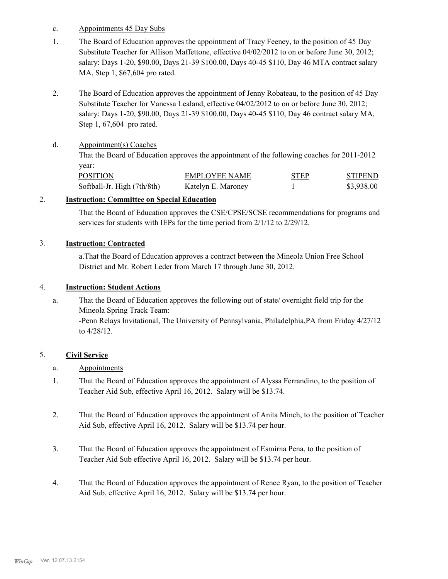- c. Appointments 45 Day Subs
- The Board of Education approves the appointment of Tracy Feeney, to the position of 45 Day Substitute Teacher for Allison Maffettone, effective 04/02/2012 to on or before June 30, 2012; salary: Days 1-20, \$90.00, Days 21-39 \$100.00, Days 40-45 \$110, Day 46 MTA contract salary MA, Step 1, \$67,604 pro rated. 1.
- The Board of Education approves the appointment of Jenny Robateau, to the position of 45 Day Substitute Teacher for Vanessa Lealand, effective 04/02/2012 to on or before June 30, 2012; salary: Days 1-20, \$90.00, Days 21-39 \$100.00, Days 40-45 \$110, Day 46 contract salary MA, Step 1, 67,604 pro rated. 2.

#### Appointment(s) Coaches d.

That the Board of Education approves the appointment of the following coaches for 2011-2012 year:

| <b>POSITION</b>             | EMPLOYEE NAME      | <b>STEP</b> | <b>STIPEND</b> |
|-----------------------------|--------------------|-------------|----------------|
| Softball-Jr. High (7th/8th) | Katelyn E. Maroney |             | \$3.938.00     |

#### 2. **Instruction: Committee on Special Education**

That the Board of Education approves the CSE/CPSE/SCSE recommendations for programs and services for students with IEPs for the time period from 2/1/12 to 2/29/12.

#### 3. **Instruction: Contracted**

a.That the Board of Education approves a contract between the Mineola Union Free School District and Mr. Robert Leder from March 17 through June 30, 2012.

#### 4. **Instruction: Student Actions**

That the Board of Education approves the following out of state/ overnight field trip for the Mineola Spring Track Team: -Penn Relays Invitational, The University of Pennsylvania, Philadelphia,PA from Friday 4/27/12 to 4/28/12. a.

## 5. **Civil Service**

- a. Appointments
- That the Board of Education approves the appointment of Alyssa Ferrandino, to the position of Teacher Aid Sub, effective April 16, 2012. Salary will be \$13.74. 1.
- That the Board of Education approves the appointment of Anita Minch, to the position of Teacher Aid Sub, effective April 16, 2012. Salary will be \$13.74 per hour. 2.
- That the Board of Education approves the appointment of Esmirna Pena, to the position of Teacher Aid Sub effective April 16, 2012. Salary will be \$13.74 per hour. 3.
- That the Board of Education approves the appointment of Renee Ryan, to the position of Teacher Aid Sub, effective April 16, 2012. Salary will be \$13.74 per hour. 4.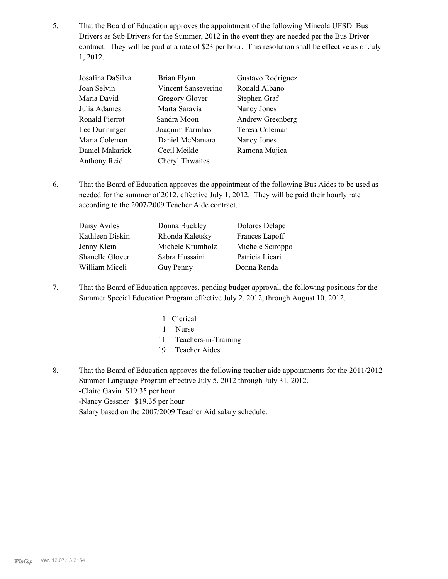That the Board of Education approves the appointment of the following Mineola UFSD Bus Drivers as Sub Drivers for the Summer, 2012 in the event they are needed per the Bus Driver contract. They will be paid at a rate of \$23 per hour. This resolution shall be effective as of July 1, 2012. 5.

| Josafina DaSilva | Brian Flynn         | Gustavo Rodriguez |
|------------------|---------------------|-------------------|
| Joan Selvin      | Vincent Sanseverino | Ronald Albano     |
| Maria David      | Gregory Glover      | Stephen Graf      |
| Julia Adames     | Marta Saravia       | Nancy Jones       |
| Ronald Pierrot   | Sandra Moon         | Andrew Greenberg  |
| Lee Dunninger    | Joaquim Farinhas    | Teresa Coleman    |
| Maria Coleman    | Daniel McNamara     | Nancy Jones       |
| Daniel Makarick  | Cecil Meikle        | Ramona Mujica     |
| Anthony Reid     | Cheryl Thwaites     |                   |

That the Board of Education approves the appointment of the following Bus Aides to be used as needed for the summer of 2012, effective July 1, 2012. They will be paid their hourly rate according to the 2007/2009 Teacher Aide contract. 6.

| Daisy Aviles           | Donna Buckley    | Dolores Delape   |
|------------------------|------------------|------------------|
| Kathleen Diskin        | Rhonda Kaletsky  | Frances Lapoff   |
| Jenny Klein            | Michele Krumholz | Michele Sciroppo |
| <b>Shanelle Glover</b> | Sabra Hussaini   | Patricia Licari  |
| William Miceli         | Guy Penny        | Donna Renda      |
|                        |                  |                  |

That the Board of Education approves, pending budget approval, the following positions for the Summer Special Education Program effective July 2, 2012, through August 10, 2012. 7.

| 1 Clerical              |
|-------------------------|
| 1 Nurse                 |
| 11 Teachers-in-Training |
| 19 Teacher Aides        |

That the Board of Education approves the following teacher aide appointments for the 2011/2012 Summer Language Program effective July 5, 2012 through July 31, 2012. -Claire Gavin \$19.35 per hour -Nancy Gessner \$19.35 per hour Salary based on the 2007/2009 Teacher Aid salary schedule. 8.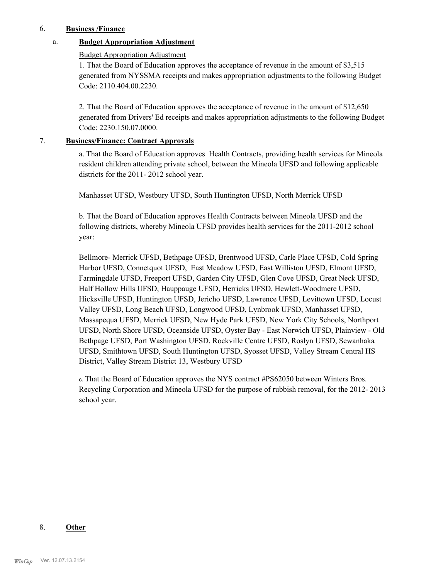#### 6. **Business /Finance**

# a. **Budget Appropriation Adjustment**

#### Budget Appropriation Adjustment

1. That the Board of Education approves the acceptance of revenue in the amount of \$3,515 generated from NYSSMA receipts and makes appropriation adjustments to the following Budget Code: 2110.404.00.2230.

2. That the Board of Education approves the acceptance of revenue in the amount of \$12,650 generated from Drivers' Ed receipts and makes appropriation adjustments to the following Budget Code: 2230.150.07.0000.

#### 7. **Business/Finance: Contract Approvals**

a. That the Board of Education approves Health Contracts, providing health services for Mineola resident children attending private school, between the Mineola UFSD and following applicable districts for the 2011- 2012 school year.

Manhasset UFSD, Westbury UFSD, South Huntington UFSD, North Merrick UFSD

b. That the Board of Education approves Health Contracts between Mineola UFSD and the following districts, whereby Mineola UFSD provides health services for the 2011-2012 school year:

Bellmore- Merrick UFSD, Bethpage UFSD, Brentwood UFSD, Carle Place UFSD, Cold Spring Harbor UFSD, Connetquot UFSD, East Meadow UFSD, East Williston UFSD, Elmont UFSD, Farmingdale UFSD, Freeport UFSD, Garden City UFSD, Glen Cove UFSD, Great Neck UFSD, Half Hollow Hills UFSD, Hauppauge UFSD, Herricks UFSD, Hewlett-Woodmere UFSD, Hicksville UFSD, Huntington UFSD, Jericho UFSD, Lawrence UFSD, Levittown UFSD, Locust Valley UFSD, Long Beach UFSD, Longwood UFSD, Lynbrook UFSD, Manhasset UFSD, Massapequa UFSD, Merrick UFSD, New Hyde Park UFSD, New York City Schools, Northport UFSD, North Shore UFSD, Oceanside UFSD, Oyster Bay - East Norwich UFSD, Plainview - Old Bethpage UFSD, Port Washington UFSD, Rockville Centre UFSD, Roslyn UFSD, Sewanhaka UFSD, Smithtown UFSD, South Huntington UFSD, Syosset UFSD, Valley Stream Central HS District, Valley Stream District 13, Westbury UFSD

c. That the Board of Education approves the NYS contract #PS62050 between Winters Bros. Recycling Corporation and Mineola UFSD for the purpose of rubbish removal, for the 2012- 2013 school year.

#### 8. **Other**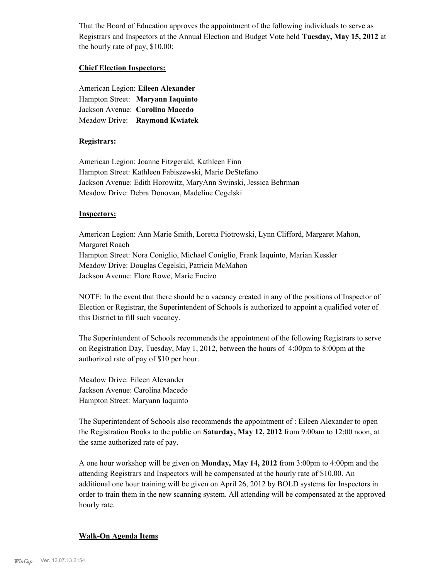That the Board of Education approves the appointment of the following individuals to serve as Registrars and Inspectors at the Annual Election and Budget Vote held **Tuesday, May 15, 2012** at the hourly rate of pay, \$10.00:

#### **Chief Election Inspectors:**

American Legion: **Eileen Alexander**  Hampton Street: **Maryann Iaquinto** Jackson Avenue: **Carolina Macedo** Meadow Drive: **Raymond Kwiatek**

#### **Registrars:**

American Legion: Joanne Fitzgerald, Kathleen Finn Hampton Street: Kathleen Fabiszewski, Marie DeStefano Jackson Avenue: Edith Horowitz, MaryAnn Swinski, Jessica Behrman Meadow Drive: Debra Donovan, Madeline Cegelski

#### **Inspectors:**

American Legion: Ann Marie Smith, Loretta Piotrowski, Lynn Clifford, Margaret Mahon, Margaret Roach Hampton Street: Nora Coniglio, Michael Coniglio, Frank Iaquinto, Marian Kessler Meadow Drive: Douglas Cegelski, Patricia McMahon Jackson Avenue: Flore Rowe, Marie Encizo

NOTE: In the event that there should be a vacancy created in any of the positions of Inspector of Election or Registrar, the Superintendent of Schools is authorized to appoint a qualified voter of this District to fill such vacancy.

The Superintendent of Schools recommends the appointment of the following Registrars to serve on Registration Day, Tuesday, May 1, 2012, between the hours of 4:00pm to 8:00pm at the authorized rate of pay of \$10 per hour.

Meadow Drive: Eileen Alexander Jackson Avenue: Carolina Macedo Hampton Street: Maryann Iaquinto

The Superintendent of Schools also recommends the appointment of : Eileen Alexander to open the Registration Books to the public on **Saturday, May 12, 2012** from 9:00am to 12:00 noon, at the same authorized rate of pay.

A one hour workshop will be given on **Monday, May 14, 2012** from 3:00pm to 4:00pm and the attending Registrars and Inspectors will be compensated at the hourly rate of \$10.00. An additional one hour training will be given on April 26, 2012 by BOLD systems for Inspectors in order to train them in the new scanning system. All attending will be compensated at the approved hourly rate.

#### **Walk-On Agenda Items**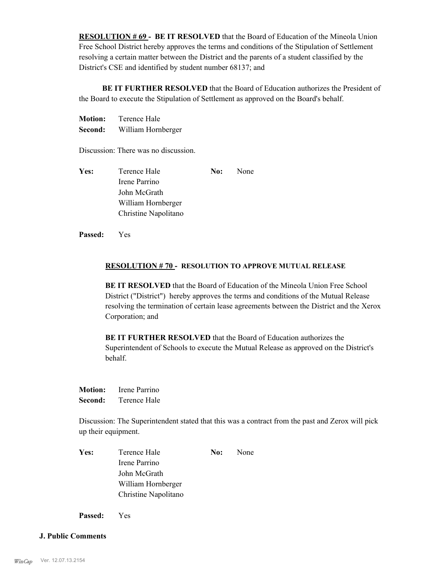**RESOLUTION # 69 - BE IT RESOLVED** that the Board of Education of the Mineola Union Free School District hereby approves the terms and conditions of the Stipulation of Settlement resolving a certain matter between the District and the parents of a student classified by the District's CSE and identified by student number 68137; and

 **BE IT FURTHER RESOLVED** that the Board of Education authorizes the President of the Board to execute the Stipulation of Settlement as approved on the Board's behalf.

| <b>Motion:</b> | Terence Hale       |
|----------------|--------------------|
| Second:        | William Hornberger |

Discussion: There was no discussion.

| Yes: | Terence Hale         | No: | None |
|------|----------------------|-----|------|
|      | Irene Parrino        |     |      |
|      | John McGrath         |     |      |
|      | William Hornberger   |     |      |
|      | Christine Napolitano |     |      |

**Passed:** Yes

#### **RESOLUTION # 70 - RESOLUTION TO APPROVE MUTUAL RELEASE**

**BE IT RESOLVED** that the Board of Education of the Mineola Union Free School District ("District") hereby approves the terms and conditions of the Mutual Release resolving the termination of certain lease agreements between the District and the Xerox Corporation; and

**BE IT FURTHER RESOLVED** that the Board of Education authorizes the Superintendent of Schools to execute the Mutual Release as approved on the District's behalf.

**Motion:** Irene Parrino **Second:** Terence Hale

Discussion: The Superintendent stated that this was a contract from the past and Zerox will pick up their equipment.

Yes: Terence Hale **No:** None Irene Parrino John McGrath William Hornberger Christine Napolitano

**Passed:** Yes

#### **J. Public Comments**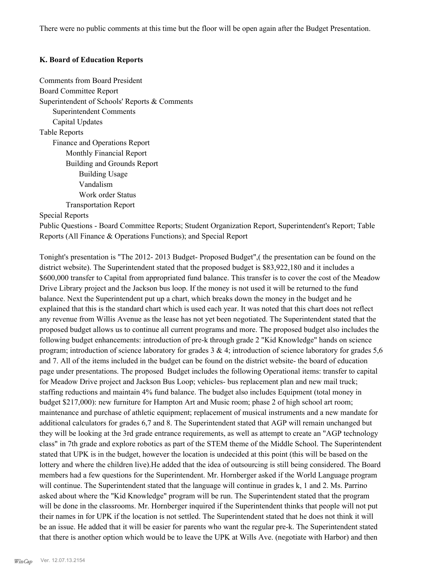There were no public comments at this time but the floor will be open again after the Budget Presentation.

#### **K. Board of Education Reports**

Comments from Board President Board Committee Report Superintendent of Schools' Reports & Comments Superintendent Comments Capital Updates Table Reports Finance and Operations Report Monthly Financial Report Building and Grounds Report Building Usage Vandalism Work order Status Transportation Report

#### Special Reports

Public Questions - Board Committee Reports; Student Organization Report, Superintendent's Report; Table Reports (All Finance & Operations Functions); and Special Report

Tonight's presentation is "The 2012- 2013 Budget- Proposed Budget",( the presentation can be found on the district website). The Superintendent stated that the proposed budget is \$83,922,180 and it includes a \$600,000 transfer to Capital from appropriated fund balance. This transfer is to cover the cost of the Meadow Drive Library project and the Jackson bus loop. If the money is not used it will be returned to the fund balance. Next the Superintendent put up a chart, which breaks down the money in the budget and he explained that this is the standard chart which is used each year. It was noted that this chart does not reflect any revenue from Willis Avenue as the lease has not yet been negotiated. The Superintendent stated that the proposed budget allows us to continue all current programs and more. The proposed budget also includes the following budget enhancements: introduction of pre-k through grade 2 "Kid Knowledge" hands on science program; introduction of science laboratory for grades  $3 \& 4$ ; introduction of science laboratory for grades  $5,6$ and 7. All of the items included in the budget can be found on the district website- the board of education page under presentations. The proposed Budget includes the following Operational items: transfer to capital for Meadow Drive project and Jackson Bus Loop; vehicles- bus replacement plan and new mail truck; staffing reductions and maintain 4% fund balance. The budget also includes Equipment (total money in budget \$217,000): new furniture for Hampton Art and Music room; phase 2 of high school art room; maintenance and purchase of athletic equipment; replacement of musical instruments and a new mandate for additional calculators for grades 6,7 and 8. The Superintendent stated that AGP will remain unchanged but they will be looking at the 3rd grade entrance requirements, as well as attempt to create an "AGP technology class" in 7th grade and explore robotics as part of the STEM theme of the Middle School. The Superintendent stated that UPK is in the budget, however the location is undecided at this point (this will be based on the lottery and where the children live).He added that the idea of outsourcing is still being considered. The Board members had a few questions for the Superintendent. Mr. Hornberger asked if the World Language program will continue. The Superintendent stated that the language will continue in grades k, 1 and 2. Ms. Parrino asked about where the "Kid Knowledge" program will be run. The Superintendent stated that the program will be done in the classrooms. Mr. Hornberger inquired if the Superintendent thinks that people will not put their names in for UPK if the location is not settled. The Superintendent stated that he does not think it will be an issue. He added that it will be easier for parents who want the regular pre-k. The Superintendent stated that there is another option which would be to leave the UPK at Wills Ave. (negotiate with Harbor) and then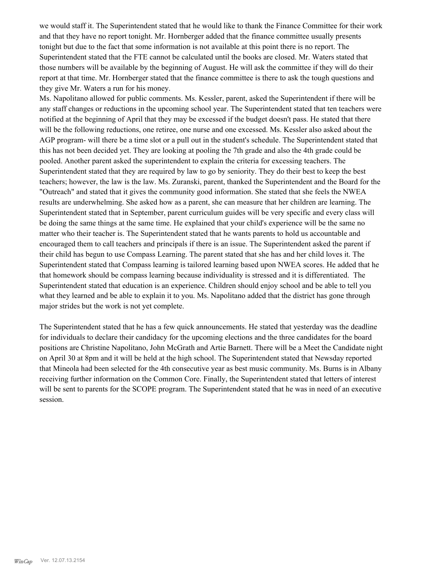we would staff it. The Superintendent stated that he would like to thank the Finance Committee for their work and that they have no report tonight. Mr. Hornberger added that the finance committee usually presents tonight but due to the fact that some information is not available at this point there is no report. The Superintendent stated that the FTE cannot be calculated until the books are closed. Mr. Waters stated that those numbers will be available by the beginning of August. He will ask the committee if they will do their report at that time. Mr. Hornberger stated that the finance committee is there to ask the tough questions and they give Mr. Waters a run for his money.

Ms. Napolitano allowed for public comments. Ms. Kessler, parent, asked the Superintendent if there will be any staff changes or reductions in the upcoming school year. The Superintendent stated that ten teachers were notified at the beginning of April that they may be excessed if the budget doesn't pass. He stated that there will be the following reductions, one retiree, one nurse and one excessed. Ms. Kessler also asked about the AGP program- will there be a time slot or a pull out in the student's schedule. The Superintendent stated that this has not been decided yet. They are looking at pooling the 7th grade and also the 4th grade could be pooled. Another parent asked the superintendent to explain the criteria for excessing teachers. The Superintendent stated that they are required by law to go by seniority. They do their best to keep the best teachers; however, the law is the law. Ms. Zuranski, parent, thanked the Superintendent and the Board for the "Outreach" and stated that it gives the community good information. She stated that she feels the NWEA results are underwhelming. She asked how as a parent, she can measure that her children are learning. The Superintendent stated that in September, parent curriculum guides will be very specific and every class will be doing the same things at the same time. He explained that your child's experience will be the same no matter who their teacher is. The Superintendent stated that he wants parents to hold us accountable and encouraged them to call teachers and principals if there is an issue. The Superintendent asked the parent if their child has begun to use Compass Learning. The parent stated that she has and her child loves it. The Superintendent stated that Compass learning is tailored learning based upon NWEA scores. He added that he that homework should be compass learning because individuality is stressed and it is differentiated. The Superintendent stated that education is an experience. Children should enjoy school and be able to tell you what they learned and be able to explain it to you. Ms. Napolitano added that the district has gone through major strides but the work is not yet complete.

The Superintendent stated that he has a few quick announcements. He stated that yesterday was the deadline for individuals to declare their candidacy for the upcoming elections and the three candidates for the board positions are Christine Napolitano, John McGrath and Artie Barnett. There will be a Meet the Candidate night on April 30 at 8pm and it will be held at the high school. The Superintendent stated that Newsday reported that Mineola had been selected for the 4th consecutive year as best music community. Ms. Burns is in Albany receiving further information on the Common Core. Finally, the Superintendent stated that letters of interest will be sent to parents for the SCOPE program. The Superintendent stated that he was in need of an executive session.